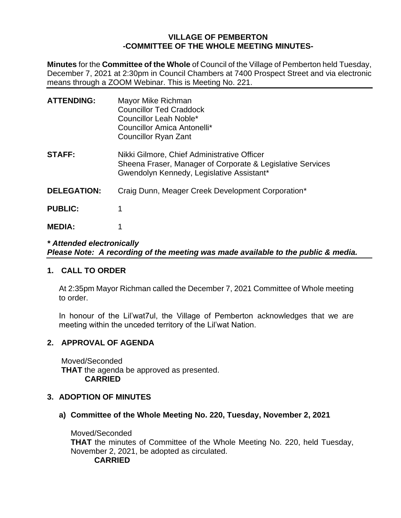# **VILLAGE OF PEMBERTON -COMMITTEE OF THE WHOLE MEETING MINUTES-**

**Minutes** for the **Committee of the Whole** of Council of the Village of Pemberton held Tuesday, December 7, 2021 at 2:30pm in Council Chambers at 7400 Prospect Street and via electronic means through a ZOOM Webinar. This is Meeting No. 221.

| <b>ATTENDING:</b>  | Mayor Mike Richman<br><b>Councillor Ted Craddock</b><br>Councillor Leah Noble*<br>Councillor Amica Antonelli*<br><b>Councillor Ryan Zant</b>           |
|--------------------|--------------------------------------------------------------------------------------------------------------------------------------------------------|
| <b>STAFF:</b>      | Nikki Gilmore, Chief Administrative Officer<br>Sheena Fraser, Manager of Corporate & Legislative Services<br>Gwendolyn Kennedy, Legislative Assistant* |
| <b>DELEGATION:</b> | Craig Dunn, Meager Creek Development Corporation*                                                                                                      |
| <b>PUBLIC:</b>     |                                                                                                                                                        |
| <b>MEDIA:</b>      |                                                                                                                                                        |

# *\* Attended electronically Please Note: A recording of the meeting was made available to the public & media.*

## **1. CALL TO ORDER**

At 2:35pm Mayor Richman called the December 7, 2021 Committee of Whole meeting to order.

In honour of the Lil'wat7ul, the Village of Pemberton acknowledges that we are meeting within the unceded territory of the Lil'wat Nation.

## **2. APPROVAL OF AGENDA**

Moved/Seconded **THAT** the agenda be approved as presented. **CARRIED**

## **3. ADOPTION OF MINUTES**

## **a) Committee of the Whole Meeting No. 220, Tuesday, November 2, 2021**

Moved/Seconded **THAT** the minutes of Committee of the Whole Meeting No. 220, held Tuesday, November 2, 2021, be adopted as circulated. **CARRIED**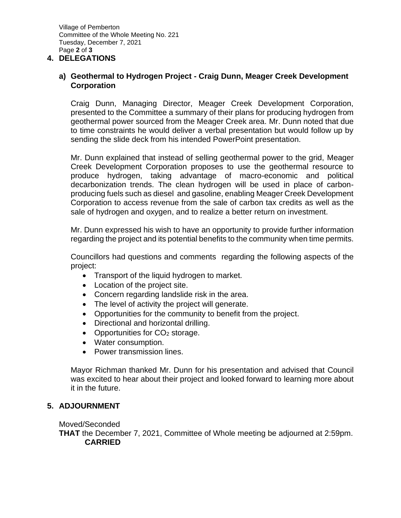## **4. DELEGATIONS**

## **a) Geothermal to Hydrogen Project - Craig Dunn, Meager Creek Development Corporation**

Craig Dunn, Managing Director, Meager Creek Development Corporation, presented to the Committee a summary of their plans for producing hydrogen from geothermal power sourced from the Meager Creek area. Mr. Dunn noted that due to time constraints he would deliver a verbal presentation but would follow up by sending the slide deck from his intended PowerPoint presentation.

Mr. Dunn explained that instead of selling geothermal power to the grid, Meager Creek Development Corporation proposes to use the geothermal resource to produce hydrogen, taking advantage of macro-economic and political decarbonization trends. The clean hydrogen will be used in place of carbonproducing fuels such as diesel and gasoline, enabling Meager Creek Development Corporation to access revenue from the sale of carbon tax credits as well as the sale of hydrogen and oxygen, and to realize a better return on investment.

Mr. Dunn expressed his wish to have an opportunity to provide further information regarding the project and its potential benefits to the community when time permits.

Councillors had questions and comments regarding the following aspects of the project:

- Transport of the liquid hydrogen to market.
- Location of the project site.
- Concern regarding landslide risk in the area.
- The level of activity the project will generate.
- Opportunities for the community to benefit from the project.
- Directional and horizontal drilling.
- Opportunities for CO<sub>2</sub> storage.
- Water consumption.
- Power transmission lines.

Mayor Richman thanked Mr. Dunn for his presentation and advised that Council was excited to hear about their project and looked forward to learning more about it in the future.

## **5. ADJOURNMENT**

Moved/Seconded

**THAT** the December 7, 2021, Committee of Whole meeting be adjourned at 2:59pm. **CARRIED**